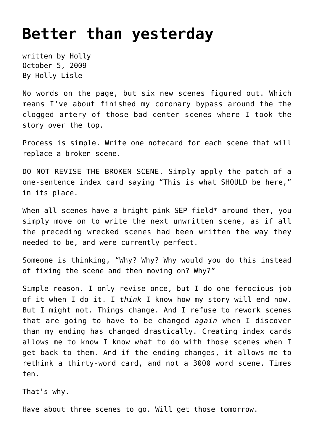## **[Better than yesterday](https://hollylisle.com/better-than-yesterday/)**

written by Holly October 5, 2009 [By Holly Lisle](https://hollylisle.com)

No words on the page, but six new scenes figured out. Which means I've about finished my coronary bypass around the the clogged artery of those bad center scenes where I took the story over the top.

Process is simple. Write one notecard for each scene that will replace a broken scene.

DO NOT REVISE THE BROKEN SCENE. Simply apply the patch of a one-sentence index card saying "This is what SHOULD be here," in its place.

When all scenes have a bright pink SEP field\* around them, you simply move on to write the next unwritten scene, as if all the preceding wrecked scenes had been written the way they needed to be, and were currently perfect.

Someone is thinking, "Why? Why? Why would you do this instead of fixing the scene and then moving on? Why?"

Simple reason. I only revise once, but I do one ferocious job of it when I do it. I *think* I know how my story will end now. But I might not. Things change. And I refuse to rework scenes that are going to have to be changed *again* when I discover than my ending has changed drastically. Creating index cards allows me to know I know what to do with those scenes when I get back to them. And if the ending changes, it allows me to rethink a thirty-word card, and not a 3000 word scene. Times ten.

That's why.

Have about three scenes to go. Will get those tomorrow.